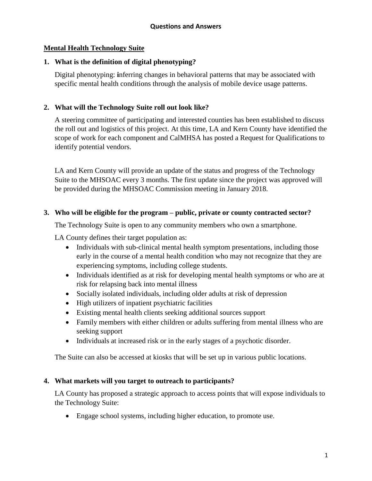# **Mental Health Technology Suite**

# **1. What is the definition of digital phenotyping?**

Digital phenotyping: **i**nferring changes in behavioral patterns that may be associated with specific mental health conditions through the analysis of mobile device usage patterns.

# **2. What will the Technology Suite roll out look like?**

A steering committee of participating and interested counties has been established to discuss the roll out and logistics of this project. At this time, LA and Kern County have identified the scope of work for each component and CalMHSA has posted a Request for Qualifications to identify potential vendors.

LA and Kern County will provide an update of the status and progress of the Technology Suite to the MHSOAC every 3 months. The first update since the project was approved will be provided during the MHSOAC Commission meeting in January 2018.

# **3. Who will be eligible for the program – public, private or county contracted sector?**

The Technology Suite is open to any community members who own a smartphone.

LA County defines their target population as:

- Individuals with sub-clinical mental health symptom presentations, including those early in the course of a mental health condition who may not recognize that they are experiencing symptoms, including college students.
- Individuals identified as at risk for developing mental health symptoms or who are at risk for relapsing back into mental illness
- Socially isolated individuals, including older adults at risk of depression
- High utilizers of inpatient psychiatric facilities
- Existing mental health clients seeking additional sources support
- Family members with either children or adults suffering from mental illness who are seeking support
- Individuals at increased risk or in the early stages of a psychotic disorder.

The Suite can also be accessed at kiosks that will be set up in various public locations.

# **4. What markets will you target to outreach to participants?**

LA County has proposed a strategic approach to access points that will expose individuals to the Technology Suite:

Engage school systems, including higher education, to promote use.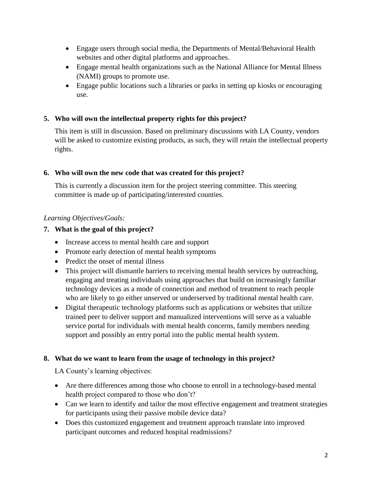- Engage users through social media, the Departments of Mental/Behavioral Health websites and other digital platforms and approaches.
- Engage mental health organizations such as the National Alliance for Mental Illness (NAMI) groups to promote use.
- Engage public locations such a libraries or parks in setting up kiosks or encouraging use.

# **5. Who will own the intellectual property rights for this project?**

This item is still in discussion. Based on preliminary discussions with LA County, vendors will be asked to customize existing products, as such, they will retain the intellectual property rights.

# **6. Who will own the new code that was created for this project?**

This is currently a discussion item for the project steering committee. This steering committee is made up of participating/interested counties.

# *Learning Objectives/Goals:*

# **7. What is the goal of this project?**

- Increase access to mental health care and support
- Promote early detection of mental health symptoms
- Predict the onset of mental illness
- This project will dismantle barriers to receiving mental health services by outreaching, engaging and treating individuals using approaches that build on increasingly familiar technology devices as a mode of connection and method of treatment to reach people who are likely to go either unserved or underserved by traditional mental health care.
- Digital therapeutic technology platforms such as applications or websites that utilize trained peer to deliver support and manualized interventions will serve as a valuable service portal for individuals with mental health concerns, family members needing support and possibly an entry portal into the public mental health system.

# **8. What do we want to learn from the usage of technology in this project?**

LA County's learning objectives:

- Are there differences among those who choose to enroll in a technology-based mental health project compared to those who don't?
- Can we learn to identify and tailor the most effective engagement and treatment strategies for participants using their passive mobile device data?
- Does this customized engagement and treatment approach translate into improved participant outcomes and reduced hospital readmissions?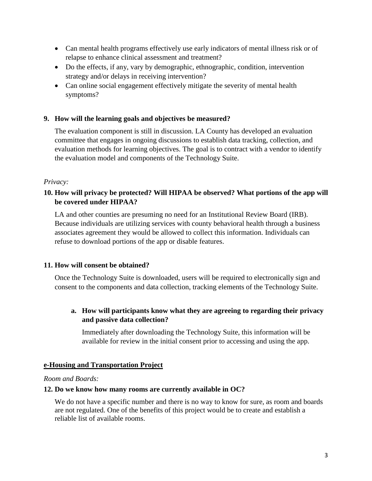- Can mental health programs effectively use early indicators of mental illness risk or of relapse to enhance clinical assessment and treatment?
- Do the effects, if any, vary by demographic, ethnographic, condition, intervention strategy and/or delays in receiving intervention?
- Can online social engagement effectively mitigate the severity of mental health symptoms?

# **9. How will the learning goals and objectives be measured?**

The evaluation component is still in discussion. LA County has developed an evaluation committee that engages in ongoing discussions to establish data tracking, collection, and evaluation methods for learning objectives. The goal is to contract with a vendor to identify the evaluation model and components of the Technology Suite.

### *Privacy:*

# **10. How will privacy be protected? Will HIPAA be observed? What portions of the app will be covered under HIPAA?**

LA and other counties are presuming no need for an Institutional Review Board (IRB). Because individuals are utilizing services with county behavioral health through a business associates agreement they would be allowed to collect this information. Individuals can refuse to download portions of the app or disable features.

# **11. How will consent be obtained?**

Once the Technology Suite is downloaded, users will be required to electronically sign and consent to the components and data collection, tracking elements of the Technology Suite.

# **a. How will participants know what they are agreeing to regarding their privacy and passive data collection?**

Immediately after downloading the Technology Suite, this information will be available for review in the initial consent prior to accessing and using the app.

# **e-Housing and Transportation Project**

### *Room and Boards:*

### **12. Do we know how many rooms are currently available in OC?**

We do not have a specific number and there is no way to know for sure, as room and boards are not regulated. One of the benefits of this project would be to create and establish a reliable list of available rooms.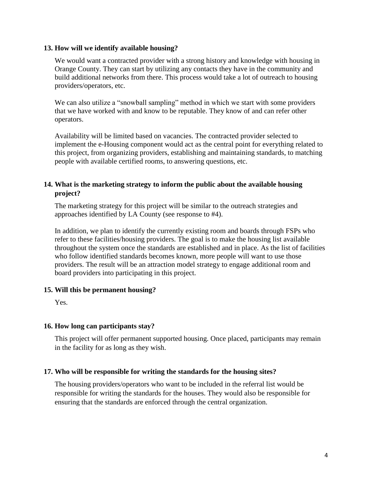### **13. How will we identify available housing?**

We would want a contracted provider with a strong history and knowledge with housing in Orange County. They can start by utilizing any contacts they have in the community and build additional networks from there. This process would take a lot of outreach to housing providers/operators, etc.

We can also utilize a "snowball sampling" method in which we start with some providers that we have worked with and know to be reputable. They know of and can refer other operators.

Availability will be limited based on vacancies. The contracted provider selected to implement the e-Housing component would act as the central point for everything related to this project, from organizing providers, establishing and maintaining standards, to matching people with available certified rooms, to answering questions, etc.

# **14. What is the marketing strategy to inform the public about the available housing project?**

The marketing strategy for this project will be similar to the outreach strategies and approaches identified by LA County (see response to #4).

In addition, we plan to identify the currently existing room and boards through FSPs who refer to these facilities/housing providers. The goal is to make the housing list available throughout the system once the standards are established and in place. As the list of facilities who follow identified standards becomes known, more people will want to use those providers. The result will be an attraction model strategy to engage additional room and board providers into participating in this project.

# **15. Will this be permanent housing?**

Yes.

# **16. How long can participants stay?**

This project will offer permanent supported housing. Once placed, participants may remain in the facility for as long as they wish.

# **17. Who will be responsible for writing the standards for the housing sites?**

The housing providers/operators who want to be included in the referral list would be responsible for writing the standards for the houses. They would also be responsible for ensuring that the standards are enforced through the central organization.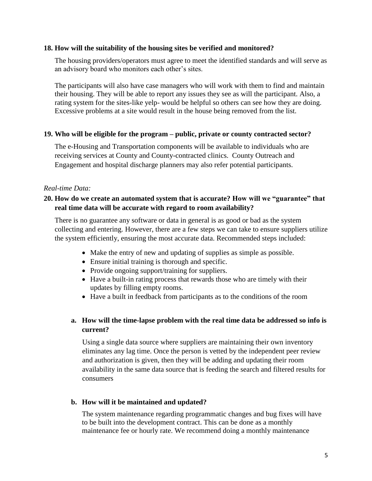### **18. How will the suitability of the housing sites be verified and monitored?**

The housing providers/operators must agree to meet the identified standards and will serve as an advisory board who monitors each other's sites.

The participants will also have case managers who will work with them to find and maintain their housing. They will be able to report any issues they see as will the participant. Also, a rating system for the sites-like yelp- would be helpful so others can see how they are doing. Excessive problems at a site would result in the house being removed from the list.

### **19. Who will be eligible for the program – public, private or county contracted sector?**

The e-Housing and Transportation components will be available to individuals who are receiving services at County and County-contracted clinics. County Outreach and Engagement and hospital discharge planners may also refer potential participants.

### *Real-time Data:*

# **20. How do we create an automated system that is accurate? How will we "guarantee" that real time data will be accurate with regard to room availability?**

There is no guarantee any software or data in general is as good or bad as the system collecting and entering. However, there are a few steps we can take to ensure suppliers utilize the system efficiently, ensuring the most accurate data. Recommended steps included:

- Make the entry of new and updating of supplies as simple as possible.
- Ensure initial training is thorough and specific.
- Provide ongoing support/training for suppliers.
- Have a built-in rating process that rewards those who are timely with their updates by filling empty rooms.
- Have a built in feedback from participants as to the conditions of the room

# **a. How will the time-lapse problem with the real time data be addressed so info is current?**

Using a single data source where suppliers are maintaining their own inventory eliminates any lag time. Once the person is vetted by the independent peer review and authorization is given, then they will be adding and updating their room availability in the same data source that is feeding the search and filtered results for consumers

### **b. How will it be maintained and updated?**

The system maintenance regarding programmatic changes and bug fixes will have to be built into the development contract. This can be done as a monthly maintenance fee or hourly rate. We recommend doing a monthly maintenance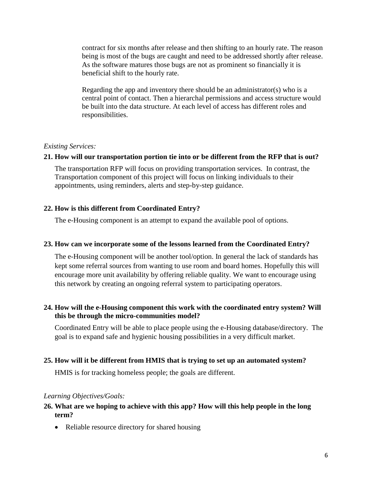contract for six months after release and then shifting to an hourly rate. The reason being is most of the bugs are caught and need to be addressed shortly after release. As the software matures those bugs are not as prominent so financially it is beneficial shift to the hourly rate.

Regarding the app and inventory there should be an administrator(s) who is a central point of contact. Then a hierarchal permissions and access structure would be built into the data structure. At each level of access has different roles and responsibilities.

### *Existing Services:*

### **21. How will our transportation portion tie into or be different from the RFP that is out?**

The transportation RFP will focus on providing transportation services. In contrast, the Transportation component of this project will focus on linking individuals to their appointments, using reminders, alerts and step-by-step guidance.

# **22. How is this different from Coordinated Entry?**

The e-Housing component is an attempt to expand the available pool of options.

### **23. How can we incorporate some of the lessons learned from the Coordinated Entry?**

The e-Housing component will be another tool/option. In general the lack of standards has kept some referral sources from wanting to use room and board homes. Hopefully this will encourage more unit availability by offering reliable quality. We want to encourage using this network by creating an ongoing referral system to participating operators.

# **24. How will the e-Housing component this work with the coordinated entry system? Will this be through the micro-communities model?**

Coordinated Entry will be able to place people using the e-Housing database/directory. The goal is to expand safe and hygienic housing possibilities in a very difficult market.

### **25. How will it be different from HMIS that is trying to set up an automated system?**

HMIS is for tracking homeless people; the goals are different.

# *Learning Objectives/Goals:*

### **26. What are we hoping to achieve with this app? How will this help people in the long term?**

• Reliable resource directory for shared housing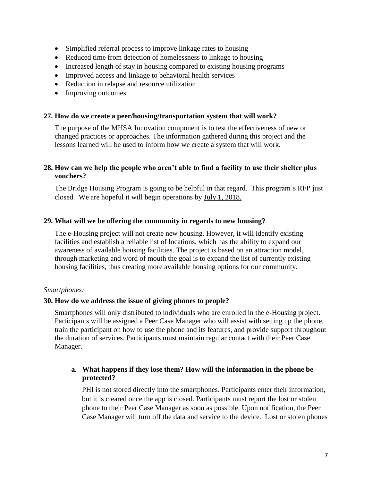- Simplified referral process to improve linkage rates to housing
- Reduced time from detection of homelessness to linkage to housing
- Increased length of stay in housing compared to existing housing programs
- Improved access and linkage to behavioral health services
- Reduction in relapse and resource utilization
- Improving outcomes

### **27. How do we create a peer/housing/transportation system that will work?**

The purpose of the MHSA Innovation component is to test the effectiveness of new or changed practices or approaches. The information gathered during this project and the lessons learned will be used to inform how we create a system that will work.

### **28. How can we help the people who aren't able to find a facility to use their shelter plus vouchers?**

The Bridge Housing Program is going to be helpful in that regard. This program's RFP just closed. We are hopeful it will begin operations by [July 1, 2018.](x-apple-data-detectors://0/)

### **29. What will we be offering the community in regards to new housing?**

The e-Housing project will not create new housing. However, it will identify existing facilities and establish a reliable list of locations, which has the ability to expand our awareness of available housing facilities. The project is based on an attraction model, through marketing and word of mouth the goal is to expand the list of currently existing housing facilities, thus creating more available housing options for our community.

### *Smartphones:*

### **30. How do we address the issue of giving phones to people?**

Smartphones will only distributed to individuals who are enrolled in the e-Housing project. Participants will be assigned a Peer Case Manager who will assist with setting up the phone, train the participant on how to use the phone and its features, and provide support throughout the duration of services. Participants must maintain regular contact with their Peer Case Manager.

# **a. What happens if they lose them? How will the information in the phone be protected?**

PHI is not stored directly into the smartphones. Participants enter their information, but it is cleared once the app is closed. Participants must report the lost or stolen phone to their Peer Case Manager as soon as possible. Upon notification, the Peer Case Manager will turn off the data and service to the device. Lost or stolen phones